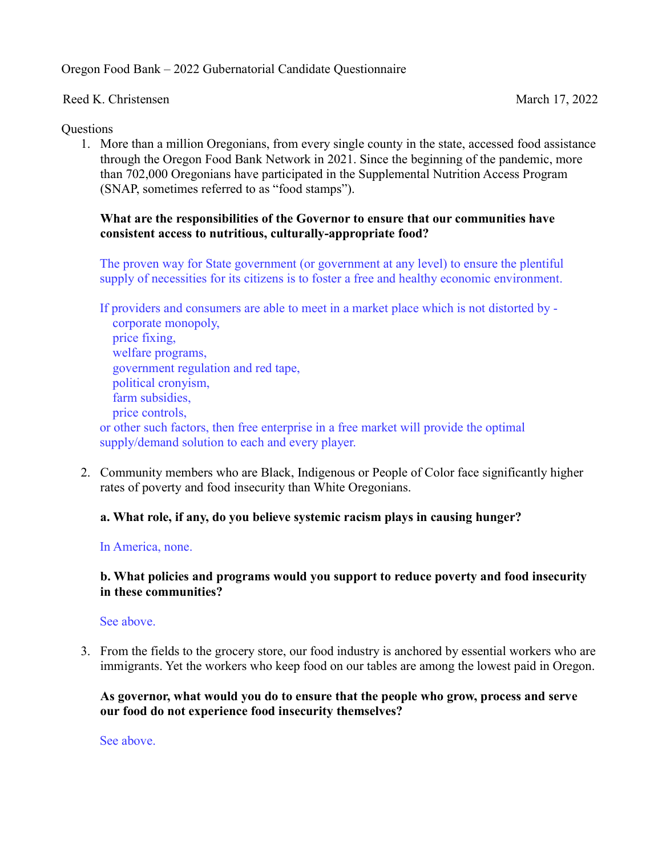Oregon Food Bank – 2022 Gubernatorial Candidate Questionnaire

Reed K. Christensen March 17, 2022

#### Questions

1. More than a million Oregonians, from every single county in the state, accessed food assistance through the Oregon Food Bank Network in 2021. Since the beginning of the pandemic, more than 702,000 Oregonians have participated in the Supplemental Nutrition Access Program (SNAP, sometimes referred to as "food stamps").

## What are the responsibilities of the Governor to ensure that our communities have consistent access to nutritious, culturally-appropriate food?

The proven way for State government (or government at any level) to ensure the plentiful supply of necessities for its citizens is to foster a free and healthy economic environment.

If providers and consumers are able to meet in a market place which is not distorted by corporate monopoly, price fixing, welfare programs, government regulation and red tape, political cronyism, farm subsidies, price controls, or other such factors, then free enterprise in a free market will provide the optimal supply/demand solution to each and every player.

2. Community members who are Black, Indigenous or People of Color face significantly higher rates of poverty and food insecurity than White Oregonians.

# a. What role, if any, do you believe systemic racism plays in causing hunger?

#### In America, none.

#### b. What policies and programs would you support to reduce poverty and food insecurity in these communities?

### See above.

3. From the fields to the grocery store, our food industry is anchored by essential workers who are immigrants. Yet the workers who keep food on our tables are among the lowest paid in Oregon.

### As governor, what would you do to ensure that the people who grow, process and serve our food do not experience food insecurity themselves?

See above.